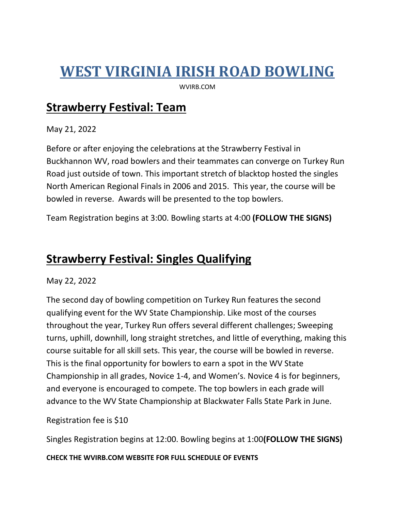## **WEST VIRGINIA IRISH ROAD BOWLING**

WVIRB.COM

#### **Strawberry Festival: Team**

May 21, 2022

Before or after enjoying the celebrations at the Strawberry Festival in Buckhannon WV, road bowlers and their teammates can converge on Turkey Run Road just outside of town. This important stretch of blacktop hosted the singles North American Regional Finals in 2006 and 2015. This year, the course will be bowled in reverse. Awards will be presented to the top bowlers.

Team Registration begins at 3:00. Bowling starts at 4:00 **(FOLLOW THE SIGNS)**

#### **Strawberry Festival: Singles Qualifying**

May 22, 2022

The second day of bowling competition on Turkey Run features the second qualifying event for the WV State Championship. Like most of the courses throughout the year, Turkey Run offers several different challenges; Sweeping turns, uphill, downhill, long straight stretches, and little of everything, making this course suitable for all skill sets. This year, the course will be bowled in reverse. This is the final opportunity for bowlers to earn a spot in the WV State Championship in all grades, Novice 1-4, and Women's. Novice 4 is for beginners, and everyone is encouraged to compete. The top bowlers in each grade will advance to the WV State Championship at Blackwater Falls State Park in June.

Registration fee is \$10

Singles Registration begins at 12:00. Bowling begins at 1:00**(FOLLOW THE SIGNS)**

**CHECK THE WVIRB.COM WEBSITE FOR FULL SCHEDULE OF EVENTS**